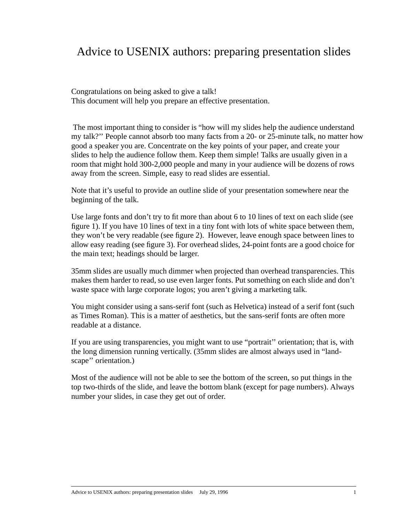## Advice to USENIX authors: preparing presentation slides

Congratulations on being asked to give a talk! This document will help you prepare an effective presentation.

 The most important thing to consider is "how will my slides help the audience understand my talk?'' People cannot absorb too many facts from a 20- or 25-minute talk, no matter how good a speaker you are. Concentrate on the key points of your paper, and create your slides to help the audience follow them. Keep them simple! Talks are usually given in a room that might hold 300-2,000 people and many in your audience will be dozens of rows away from the screen. Simple, easy to read slides are essential.

Note that it's useful to provide an outline slide of your presentation somewhere near the beginning of the talk.

Use large fonts and don't try to fit more than about 6 to 10 lines of text on each slide (see figure 1). If you have 10 lines of text in a tiny font with lots of white space between them, they won't be very readable (see figure 2). However, leave enough space between lines to allow easy reading (see figure 3). For overhead slides, 24-point fonts are a good choice for the main text; headings should be larger.

35mm slides are usually much dimmer when projected than overhead transparencies. This makes them harder to read, so use even larger fonts. Put something on each slide and don't waste space with large corporate logos; you aren't giving a marketing talk.

You might consider using a sans-serif font (such as Helvetica) instead of a serif font (such as Times Roman). This is a matter of aesthetics, but the sans-serif fonts are often more readable at a distance.

If you are using transparencies, you might want to use "portrait'' orientation; that is, with the long dimension running vertically. (35mm slides are almost always used in "landscape'' orientation.)

Most of the audience will not be able to see the bottom of the screen, so put things in the top two-thirds of the slide, and leave the bottom blank (except for page numbers). Always number your slides, in case they get out of order.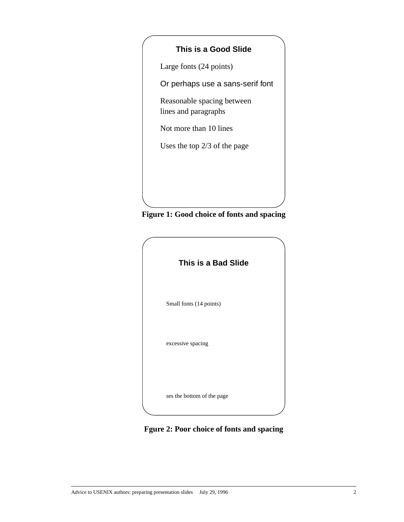## **This is a Good Slide**

Large fonts (24 points)

Or perhaps use a sans-serif font

Reasonable spacing between lines and paragraphs

Not more than 10 lines

Uses the top 2/3 of the page





**Fgure 2: Poor choice of fonts and spacing**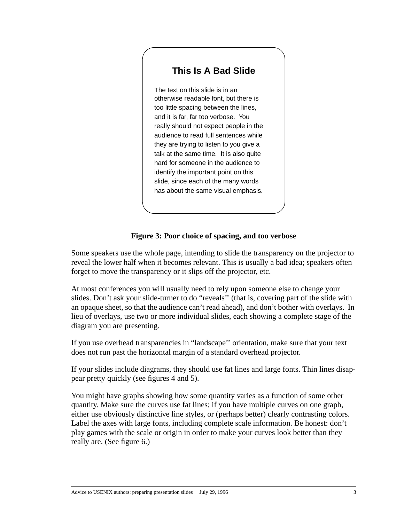## **This Is A Bad Slide**

The text on this slide is in an otherwise readable font, but there is too little spacing between the lines, and it is far, far too verbose. You really should not expect people in the audience to read full sentences while they are trying to listen to you give a talk at the same time. It is also quite hard for someone in the audience to identify the important point on this slide, since each of the many words has about the same visual emphasis.

## **Figure 3: Poor choice of spacing, and too verbose**

Some speakers use the whole page, intending to slide the transparency on the projector to reveal the lower half when it becomes relevant. This is usually a bad idea; speakers often forget to move the transparency or it slips off the projector, etc.

At most conferences you will usually need to rely upon someone else to change your slides. Don't ask your slide-turner to do "reveals'' (that is, covering part of the slide with an opaque sheet, so that the audience can't read ahead), and don't bother with overlays. In lieu of overlays, use two or more individual slides, each showing a complete stage of the diagram you are presenting.

If you use overhead transparencies in "landscape'' orientation, make sure that your text does not run past the horizontal margin of a standard overhead projector.

If your slides include diagrams, they should use fat lines and large fonts. Thin lines disappear pretty quickly (see figures 4 and 5).

You might have graphs showing how some quantity varies as a function of some other quantity. Make sure the curves use fat lines; if you have multiple curves on one graph, either use obviously distinctive line styles, or (perhaps better) clearly contrasting colors. Label the axes with large fonts, including complete scale information. Be honest: don't play games with the scale or origin in order to make your curves look better than they really are. (See figure 6.)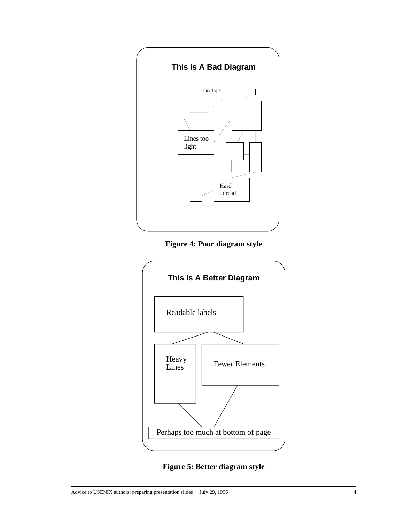

**Figure 4: Poor diagram style**



**Figure 5: Better diagram style**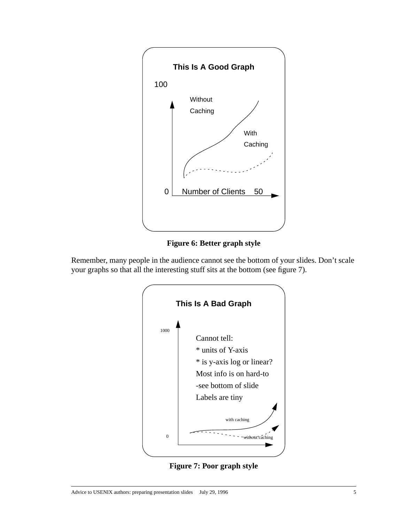

**Figure 6: Better graph style**

Remember, many people in the audience cannot see the bottom of your slides. Don't scale your graphs so that all the interesting stuff sits at the bottom (see figure 7).



**Figure 7: Poor graph style**